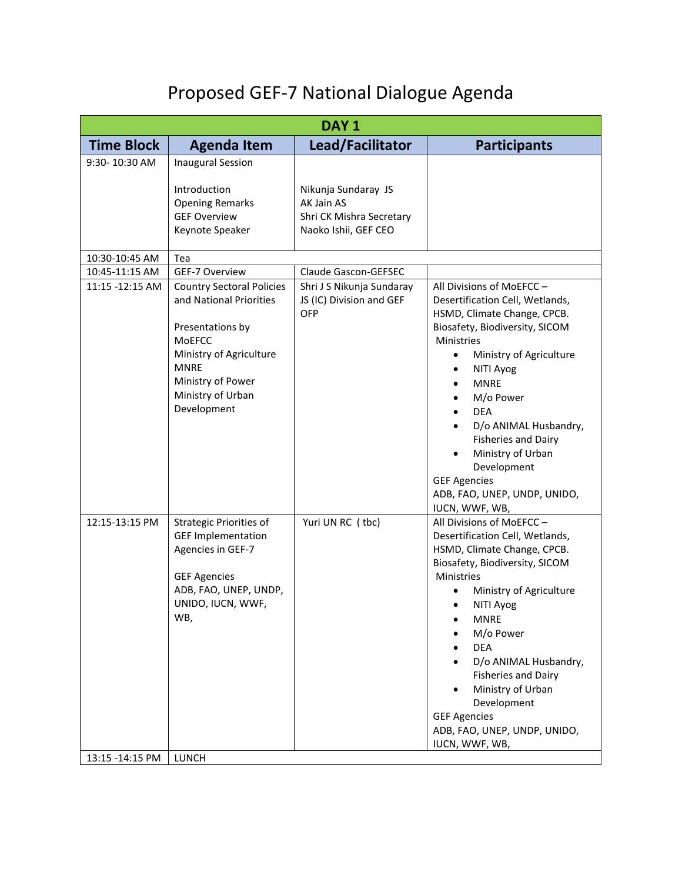## Proposed GEF-7 National Dialogue Agenda

| DAY <sub>1</sub>                                                                                                                                                                             |                                                                                       |                                                                                                                                                                                                                                                                                                                                                                                                                      |  |  |  |
|----------------------------------------------------------------------------------------------------------------------------------------------------------------------------------------------|---------------------------------------------------------------------------------------|----------------------------------------------------------------------------------------------------------------------------------------------------------------------------------------------------------------------------------------------------------------------------------------------------------------------------------------------------------------------------------------------------------------------|--|--|--|
| <b>Agenda Item</b>                                                                                                                                                                           | Lead/Facilitator                                                                      | <b>Participants</b>                                                                                                                                                                                                                                                                                                                                                                                                  |  |  |  |
| <b>Inaugural Session</b><br>Introduction<br><b>Opening Remarks</b><br><b>GEF Overview</b><br>Keynote Speaker                                                                                 | Nikunja Sundaray JS<br>AK Jain AS<br>Shri CK Mishra Secretary<br>Naoko Ishii, GEF CEO |                                                                                                                                                                                                                                                                                                                                                                                                                      |  |  |  |
|                                                                                                                                                                                              |                                                                                       |                                                                                                                                                                                                                                                                                                                                                                                                                      |  |  |  |
| GEF-7 Overview                                                                                                                                                                               | Claude Gascon-GEFSEC                                                                  |                                                                                                                                                                                                                                                                                                                                                                                                                      |  |  |  |
| <b>Country Sectoral Policies</b><br>and National Priorities<br>Presentations by<br>MoEFCC<br>Ministry of Agriculture<br><b>MNRE</b><br>Ministry of Power<br>Ministry of Urban<br>Development | Shri J S Nikunja Sundaray<br>JS (IC) Division and GEF<br>OFP                          | All Divisions of MoEFCC-<br>Desertification Cell, Wetlands,<br>HSMD, Climate Change, CPCB.<br>Biosafety, Biodiversity, SICOM<br><b>Ministries</b><br>Ministry of Agriculture<br>$\bullet$<br>NITI Ayog<br><b>MNRE</b><br>M/o Power<br><b>DEA</b><br>D/o ANIMAL Husbandry,<br><b>Fisheries and Dairy</b><br>Ministry of Urban<br>Development<br><b>GEF Agencies</b><br>ADB, FAO, UNEP, UNDP, UNIDO,<br>IUCN, WWF, WB, |  |  |  |
| <b>Strategic Priorities of</b><br><b>GEF Implementation</b><br>Agencies in GEF-7<br><b>GEF Agencies</b><br>ADB, FAO, UNEP, UNDP,<br>UNIDO, IUCN, WWF,<br>WB,                                 | Yuri UN RC (tbc)                                                                      | All Divisions of MoEFCC-<br>Desertification Cell, Wetlands,<br>HSMD, Climate Change, CPCB.<br>Biosafety, Biodiversity, SICOM<br>Ministries<br>Ministry of Agriculture<br>NITI Ayog<br><b>MNRE</b><br>M/o Power<br><b>DEA</b><br>D/o ANIMAL Husbandry,<br><b>Fisheries and Dairy</b><br>Ministry of Urban<br>Development<br><b>GEF Agencies</b><br>ADB, FAO, UNEP, UNDP, UNIDO,<br>IUCN, WWF, WB,                     |  |  |  |
|                                                                                                                                                                                              | Tea<br>LUNCH                                                                          |                                                                                                                                                                                                                                                                                                                                                                                                                      |  |  |  |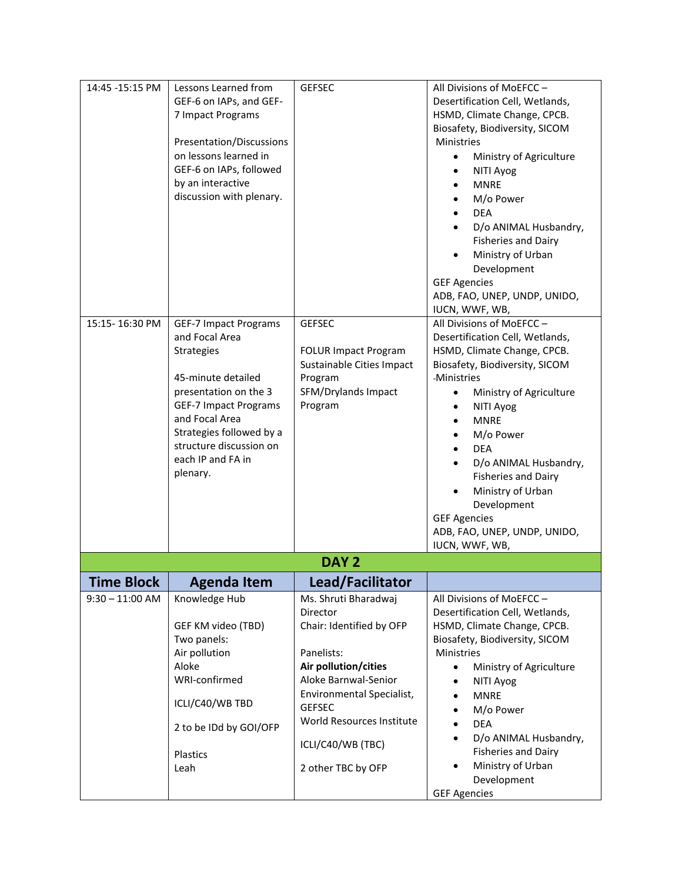| 14:45 -15:15 PM   | Lessons Learned from<br>GEF-6 on IAPs, and GEF-<br>7 Impact Programs<br>Presentation/Discussions<br>on lessons learned in<br>GEF-6 on IAPs, followed<br>by an interactive<br>discussion with plenary.                                                        | <b>GEFSEC</b>                                                                                                                                                                                                                                    | All Divisions of MoEFCC-<br>Desertification Cell, Wetlands,<br>HSMD, Climate Change, CPCB.<br>Biosafety, Biodiversity, SICOM<br><b>Ministries</b><br>Ministry of Agriculture<br>$\bullet$<br>NITI Ayog<br><b>MNRE</b><br>M/o Power<br><b>DEA</b><br>D/o ANIMAL Husbandry,<br><b>Fisheries and Dairy</b><br>Ministry of Urban<br>Development<br><b>GEF Agencies</b><br>ADB, FAO, UNEP, UNDP, UNIDO,                               |
|-------------------|--------------------------------------------------------------------------------------------------------------------------------------------------------------------------------------------------------------------------------------------------------------|--------------------------------------------------------------------------------------------------------------------------------------------------------------------------------------------------------------------------------------------------|----------------------------------------------------------------------------------------------------------------------------------------------------------------------------------------------------------------------------------------------------------------------------------------------------------------------------------------------------------------------------------------------------------------------------------|
| 15:15-16:30 PM    | <b>GEF-7 Impact Programs</b><br>and Focal Area<br><b>Strategies</b><br>45-minute detailed<br>presentation on the 3<br><b>GEF-7 Impact Programs</b><br>and Focal Area<br>Strategies followed by a<br>structure discussion on<br>each IP and FA in<br>plenary. | <b>GEFSEC</b><br><b>FOLUR Impact Program</b><br>Sustainable Cities Impact<br>Program<br>SFM/Drylands Impact<br>Program                                                                                                                           | IUCN, WWF, WB,<br>All Divisions of MoEFCC-<br>Desertification Cell, Wetlands,<br>HSMD, Climate Change, CPCB.<br>Biosafety, Biodiversity, SICOM<br>-Ministries<br>Ministry of Agriculture<br>$\bullet$<br>NITI Ayog<br><b>MNRE</b><br>M/o Power<br><b>DEA</b><br>D/o ANIMAL Husbandry,<br><b>Fisheries and Dairy</b><br>Ministry of Urban<br>Development<br><b>GEF Agencies</b><br>ADB, FAO, UNEP, UNDP, UNIDO,<br>IUCN, WWF, WB, |
|                   |                                                                                                                                                                                                                                                              | DAY <sub>2</sub>                                                                                                                                                                                                                                 |                                                                                                                                                                                                                                                                                                                                                                                                                                  |
| <b>Time Block</b> | <b>Agenda Item</b>                                                                                                                                                                                                                                           | Lead/Facilitator                                                                                                                                                                                                                                 |                                                                                                                                                                                                                                                                                                                                                                                                                                  |
| $9:30 - 11:00$ AM | Knowledge Hub<br>GEF KM video (TBD)<br>Two panels:<br>Air pollution<br>Aloke<br>WRI-confirmed<br>ICLI/C40/WB TBD<br>2 to be IDd by GOI/OFP<br>Plastics<br>Leah                                                                                               | Ms. Shruti Bharadwaj<br>Director<br>Chair: Identified by OFP<br>Panelists:<br>Air pollution/cities<br>Aloke Barnwal-Senior<br>Environmental Specialist,<br><b>GEFSEC</b><br>World Resources Institute<br>ICLI/C40/WB (TBC)<br>2 other TBC by OFP | All Divisions of MoEFCC-<br>Desertification Cell, Wetlands,<br>HSMD, Climate Change, CPCB.<br>Biosafety, Biodiversity, SICOM<br>Ministries<br>Ministry of Agriculture<br>NITI Ayog<br><b>MNRE</b><br>M/o Power<br><b>DEA</b><br>D/o ANIMAL Husbandry,<br><b>Fisheries and Dairy</b><br>Ministry of Urban<br>Development<br><b>GEF Agencies</b>                                                                                   |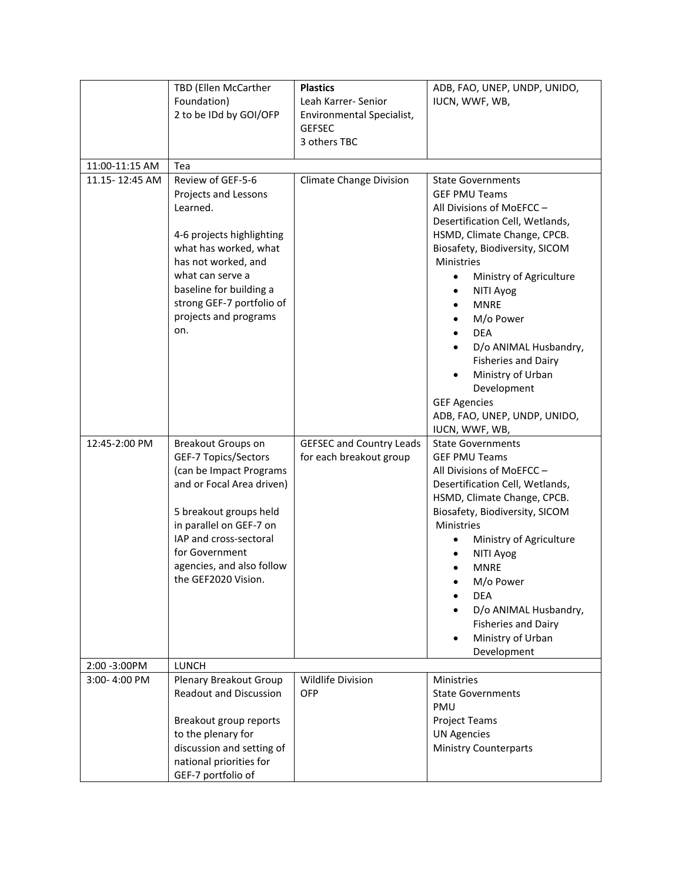|                | TBD (Ellen McCarther<br>Foundation)<br>2 to be IDd by GOI/OFP                                                                                                                                                                                                  | <b>Plastics</b><br>Leah Karrer- Senior<br>Environmental Specialist,<br><b>GEFSEC</b><br>3 others TBC | ADB, FAO, UNEP, UNDP, UNIDO,<br>IUCN, WWF, WB,                                                                                                                                                                                                                                                                                                                                                                                                                                        |
|----------------|----------------------------------------------------------------------------------------------------------------------------------------------------------------------------------------------------------------------------------------------------------------|------------------------------------------------------------------------------------------------------|---------------------------------------------------------------------------------------------------------------------------------------------------------------------------------------------------------------------------------------------------------------------------------------------------------------------------------------------------------------------------------------------------------------------------------------------------------------------------------------|
| 11:00-11:15 AM | Tea                                                                                                                                                                                                                                                            |                                                                                                      |                                                                                                                                                                                                                                                                                                                                                                                                                                                                                       |
| 11.15-12:45 AM | Review of GEF-5-6<br>Projects and Lessons<br>Learned.<br>4-6 projects highlighting<br>what has worked, what<br>has not worked, and<br>what can serve a<br>baseline for building a<br>strong GEF-7 portfolio of<br>projects and programs<br>on.                 | <b>Climate Change Division</b>                                                                       | <b>State Governments</b><br><b>GEF PMU Teams</b><br>All Divisions of MoEFCC-<br>Desertification Cell, Wetlands,<br>HSMD, Climate Change, CPCB.<br>Biosafety, Biodiversity, SICOM<br><b>Ministries</b><br>Ministry of Agriculture<br>$\bullet$<br>NITI Ayog<br>$\bullet$<br><b>MNRE</b><br>M/o Power<br><b>DEA</b><br>D/o ANIMAL Husbandry,<br><b>Fisheries and Dairy</b><br>Ministry of Urban<br>Development<br><b>GEF Agencies</b><br>ADB, FAO, UNEP, UNDP, UNIDO,<br>IUCN, WWF, WB, |
| 12:45-2:00 PM  | <b>Breakout Groups on</b><br>GEF-7 Topics/Sectors<br>(can be Impact Programs<br>and or Focal Area driven)<br>5 breakout groups held<br>in parallel on GEF-7 on<br>IAP and cross-sectoral<br>for Government<br>agencies, and also follow<br>the GEF2020 Vision. | <b>GEFSEC and Country Leads</b><br>for each breakout group                                           | <b>State Governments</b><br><b>GEF PMU Teams</b><br>All Divisions of MoEFCC-<br>Desertification Cell, Wetlands,<br>HSMD, Climate Change, CPCB.<br>Biosafety, Biodiversity, SICOM<br>Ministries<br>Ministry of Agriculture<br>NITI Ayog<br><b>MNRE</b><br>M/o Power<br><b>DEA</b><br>D/o ANIMAL Husbandry,<br><b>Fisheries and Dairy</b><br>Ministry of Urban<br>Development                                                                                                           |
| 2:00 - 3:00 PM | <b>LUNCH</b>                                                                                                                                                                                                                                                   |                                                                                                      |                                                                                                                                                                                                                                                                                                                                                                                                                                                                                       |
| 3:00-4:00 PM   | Plenary Breakout Group<br><b>Readout and Discussion</b><br>Breakout group reports<br>to the plenary for<br>discussion and setting of<br>national priorities for<br>GEF-7 portfolio of                                                                          | Wildlife Division<br><b>OFP</b>                                                                      | <b>Ministries</b><br><b>State Governments</b><br>PMU<br><b>Project Teams</b><br><b>UN Agencies</b><br><b>Ministry Counterparts</b>                                                                                                                                                                                                                                                                                                                                                    |